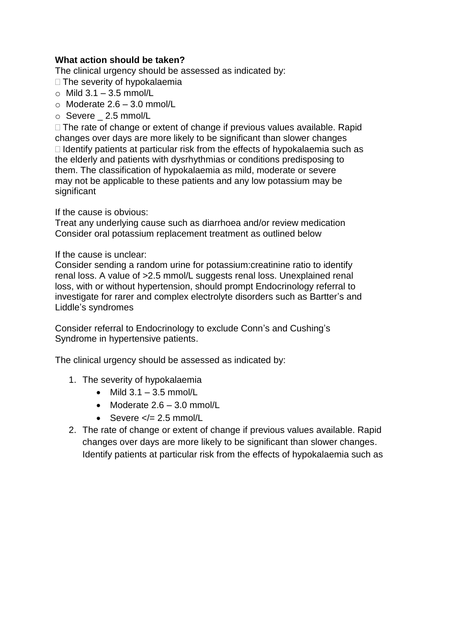# **What action should be taken?**

The clinical urgency should be assessed as indicated by:

 $\Box$  The severity of hypokalaemia

- $\circ$  Mild 3.1 3.5 mmol/L
- $\circ$  Moderate 2.6 3.0 mmol/L
- o Severe \_ 2.5 mmol/L

 $\Box$  The rate of change or extent of change if previous values available. Rapid changes over days are more likely to be significant than slower changes  $\Box$  Identify patients at particular risk from the effects of hypokalaemia such as the elderly and patients with dysrhythmias or conditions predisposing to them. The classification of hypokalaemia as mild, moderate or severe may not be applicable to these patients and any low potassium may be significant

If the cause is obvious:

Treat any underlying cause such as diarrhoea and/or review medication Consider oral potassium replacement treatment as outlined below

#### If the cause is unclear:

Consider sending a random urine for potassium:creatinine ratio to identify renal loss. A value of >2.5 mmol/L suggests renal loss. Unexplained renal loss, with or without hypertension, should prompt Endocrinology referral to investigate for rarer and complex electrolyte disorders such as Bartter's and Liddle's syndromes

Consider referral to Endocrinology to exclude Conn's and Cushing's Syndrome in hypertensive patients.

The clinical urgency should be assessed as indicated by:

- 1. The severity of hypokalaemia
	- $\bullet$  Mild 3.1 3.5 mmol/L
	- Moderate 2.6 3.0 mmol/L
	- Severe  $\lt/= 2.5$  mmol/L
- 2. The rate of change or extent of change if previous values available. Rapid changes over days are more likely to be significant than slower changes. Identify patients at particular risk from the effects of hypokalaemia such as